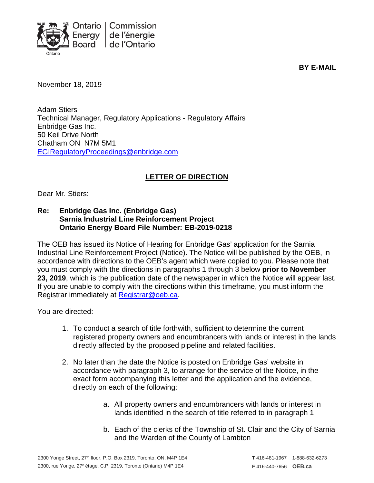

**BY E-MAIL**

November 18, 2019

Adam Stiers Technical Manager, Regulatory Applications - Regulatory Affairs Enbridge Gas Inc. 50 Keil Drive North Chatham ON N7M 5M1 [EGIRegulatoryProceedings@enbridge.com](mailto:EGIRegulatoryProceedings@enbridge.com)

## **LETTER OF DIRECTION**

Dear Mr. Stiers:

## **Re: Enbridge Gas Inc. (Enbridge Gas) Sarnia Industrial Line Reinforcement Project Ontario Energy Board File Number: EB-2019-0218**

The OEB has issued its Notice of Hearing for Enbridge Gas' application for the Sarnia Industrial Line Reinforcement Project (Notice). The Notice will be published by the OEB, in accordance with directions to the OEB's agent which were copied to you. Please note that you must comply with the directions in paragraphs 1 through 3 below **prior to November 23, 2019**, which is the publication date of the newspaper in which the Notice will appear last. If you are unable to comply with the directions within this timeframe, you must inform the Registrar immediately at [Registrar@oeb.ca.](mailto:Registrar@oeb.ca)

You are directed:

- 1. To conduct a search of title forthwith, sufficient to determine the current registered property owners and encumbrancers with lands or interest in the lands directly affected by the proposed pipeline and related facilities.
- 2. No later than the date the Notice is posted on Enbridge Gas' website in accordance with paragraph 3, to arrange for the service of the Notice, in the exact form accompanying this letter and the application and the evidence, directly on each of the following:
	- a. All property owners and encumbrancers with lands or interest in lands identified in the search of title referred to in paragraph 1
	- b. Each of the clerks of the Township of St. Clair and the City of Sarnia and the Warden of the County of Lambton